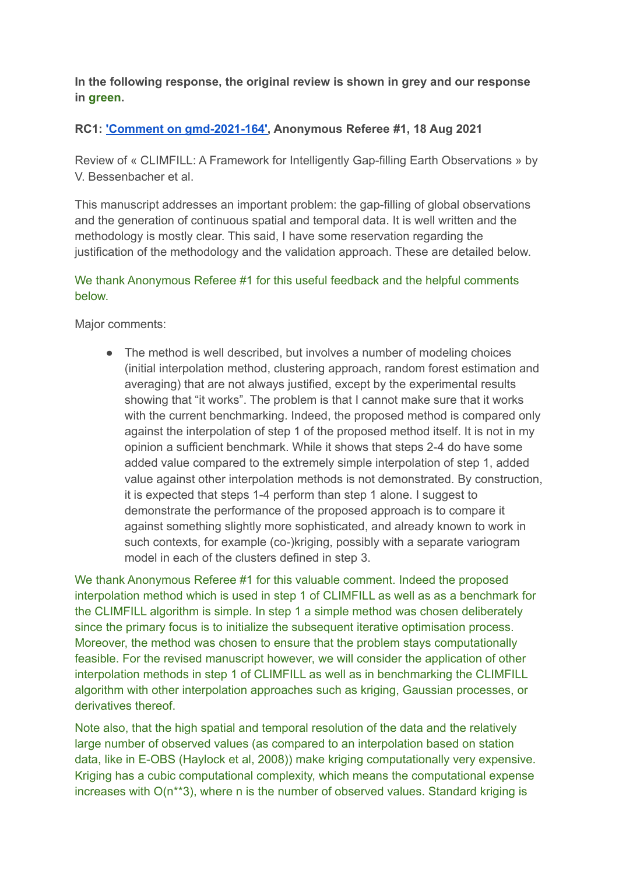**In the following response, the original review is shown in grey and our response in green.**

## **RC1: 'Comment on [gmd-2021-164',](https://gmd.copernicus.org/preprints/gmd-2021-164/#RC1) Anonymous Referee #1, 18 Aug 2021**

Review of « CLIMFILL: A Framework for Intelligently Gap-filling Earth Observations » by V. Bessenbacher et al.

This manuscript addresses an important problem: the gap-filling of global observations and the generation of continuous spatial and temporal data. It is well written and the methodology is mostly clear. This said, I have some reservation regarding the justification of the methodology and the validation approach. These are detailed below.

## We thank Anonymous Referee #1 for this useful feedback and the helpful comments below.

Major comments:

• The method is well described, but involves a number of modeling choices (initial interpolation method, clustering approach, random forest estimation and averaging) that are not always justified, except by the experimental results showing that "it works". The problem is that I cannot make sure that it works with the current benchmarking. Indeed, the proposed method is compared only against the interpolation of step 1 of the proposed method itself. It is not in my opinion a sufficient benchmark. While it shows that steps 2-4 do have some added value compared to the extremely simple interpolation of step 1, added value against other interpolation methods is not demonstrated. By construction, it is expected that steps 1-4 perform than step 1 alone. I suggest to demonstrate the performance of the proposed approach is to compare it against something slightly more sophisticated, and already known to work in such contexts, for example (co-)kriging, possibly with a separate variogram model in each of the clusters defined in step 3.

We thank Anonymous Referee #1 for this valuable comment. Indeed the proposed interpolation method which is used in step 1 of CLIMFILL as well as as a benchmark for the CLIMFILL algorithm is simple. In step 1 a simple method was chosen deliberately since the primary focus is to initialize the subsequent iterative optimisation process. Moreover, the method was chosen to ensure that the problem stays computationally feasible. For the revised manuscript however, we will consider the application of other interpolation methods in step 1 of CLIMFILL as well as in benchmarking the CLIMFILL algorithm with other interpolation approaches such as kriging, Gaussian processes, or derivatives thereof.

Note also, that the high spatial and temporal resolution of the data and the relatively large number of observed values (as compared to an interpolation based on station data, like in E-OBS (Haylock et al, 2008)) make kriging computationally very expensive. Kriging has a cubic computational complexity, which means the computational expense increases with O(n\*\*3), where n is the number of observed values. Standard kriging is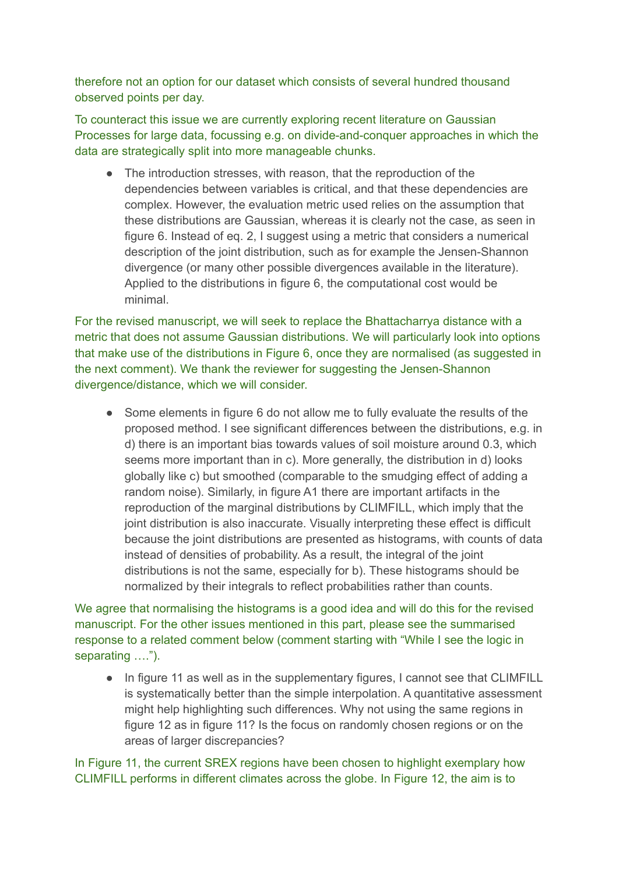therefore not an option for our dataset which consists of several hundred thousand observed points per day.

To counteract this issue we are currently exploring recent literature on Gaussian Processes for large data, focussing e.g. on divide-and-conquer approaches in which the data are strategically split into more manageable chunks.

• The introduction stresses, with reason, that the reproduction of the dependencies between variables is critical, and that these dependencies are complex. However, the evaluation metric used relies on the assumption that these distributions are Gaussian, whereas it is clearly not the case, as seen in figure 6. Instead of eq. 2, I suggest using a metric that considers a numerical description of the joint distribution, such as for example the Jensen-Shannon divergence (or many other possible divergences available in the literature). Applied to the distributions in figure 6, the computational cost would be minimal.

For the revised manuscript, we will seek to replace the Bhattacharrya distance with a metric that does not assume Gaussian distributions. We will particularly look into options that make use of the distributions in Figure 6, once they are normalised (as suggested in the next comment). We thank the reviewer for suggesting the Jensen-Shannon divergence/distance, which we will consider.

• Some elements in figure 6 do not allow me to fully evaluate the results of the proposed method. I see significant differences between the distributions, e.g. in d) there is an important bias towards values of soil moisture around 0.3, which seems more important than in c). More generally, the distribution in d) looks globally like c) but smoothed (comparable to the smudging effect of adding a random noise). Similarly, in figure A1 there are important artifacts in the reproduction of the marginal distributions by CLIMFILL, which imply that the joint distribution is also inaccurate. Visually interpreting these effect is difficult because the joint distributions are presented as histograms, with counts of data instead of densities of probability. As a result, the integral of the joint distributions is not the same, especially for b). These histograms should be normalized by their integrals to reflect probabilities rather than counts.

We agree that normalising the histograms is a good idea and will do this for the revised manuscript. For the other issues mentioned in this part, please see the summarised response to a related comment below (comment starting with "While I see the logic in separating ….").

● In figure 11 as well as in the supplementary figures, I cannot see that CLIMFILL is systematically better than the simple interpolation. A quantitative assessment might help highlighting such differences. Why not using the same regions in figure 12 as in figure 11? Is the focus on randomly chosen regions or on the areas of larger discrepancies?

In Figure 11, the current SREX regions have been chosen to highlight exemplary how CLIMFILL performs in different climates across the globe. In Figure 12, the aim is to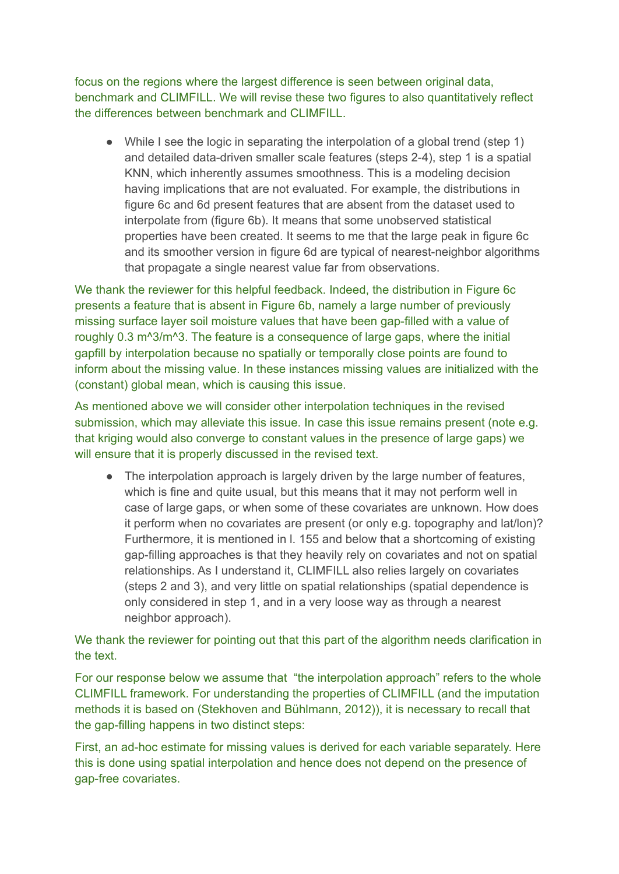focus on the regions where the largest difference is seen between original data, benchmark and CLIMFILL. We will revise these two figures to also quantitatively reflect the differences between benchmark and CLIMFILL.

• While I see the logic in separating the interpolation of a global trend (step 1) and detailed data-driven smaller scale features (steps 2-4), step 1 is a spatial KNN, which inherently assumes smoothness. This is a modeling decision having implications that are not evaluated. For example, the distributions in figure 6c and 6d present features that are absent from the dataset used to interpolate from (figure 6b). It means that some unobserved statistical properties have been created. It seems to me that the large peak in figure 6c and its smoother version in figure 6d are typical of nearest-neighbor algorithms that propagate a single nearest value far from observations.

We thank the reviewer for this helpful feedback. Indeed, the distribution in Figure 6c presents a feature that is absent in Figure 6b, namely a large number of previously missing surface layer soil moisture values that have been gap-filled with a value of roughly 0.3 m^3/m^3. The feature is a consequence of large gaps, where the initial gapfill by interpolation because no spatially or temporally close points are found to inform about the missing value. In these instances missing values are initialized with the (constant) global mean, which is causing this issue.

As mentioned above we will consider other interpolation techniques in the revised submission, which may alleviate this issue. In case this issue remains present (note e.g. that kriging would also converge to constant values in the presence of large gaps) we will ensure that it is properly discussed in the revised text.

• The interpolation approach is largely driven by the large number of features, which is fine and quite usual, but this means that it may not perform well in case of large gaps, or when some of these covariates are unknown. How does it perform when no covariates are present (or only e.g. topography and lat/lon)? Furthermore, it is mentioned in l. 155 and below that a shortcoming of existing gap-filling approaches is that they heavily rely on covariates and not on spatial relationships. As I understand it, CLIMFILL also relies largely on covariates (steps 2 and 3), and very little on spatial relationships (spatial dependence is only considered in step 1, and in a very loose way as through a nearest neighbor approach).

We thank the reviewer for pointing out that this part of the algorithm needs clarification in the text.

For our response below we assume that "the interpolation approach" refers to the whole CLIMFILL framework. For understanding the properties of CLIMFILL (and the imputation methods it is based on (Stekhoven and Bühlmann, 2012)), it is necessary to recall that the gap-filling happens in two distinct steps:

First, an ad-hoc estimate for missing values is derived for each variable separately. Here this is done using spatial interpolation and hence does not depend on the presence of gap-free covariates.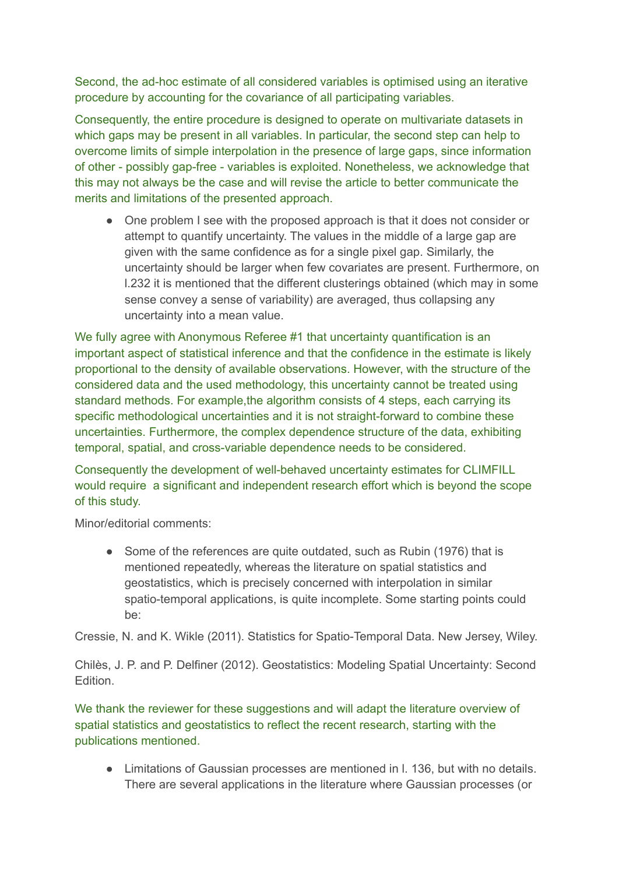Second, the ad-hoc estimate of all considered variables is optimised using an iterative procedure by accounting for the covariance of all participating variables.

Consequently, the entire procedure is designed to operate on multivariate datasets in which gaps may be present in all variables. In particular, the second step can help to overcome limits of simple interpolation in the presence of large gaps, since information of other - possibly gap-free - variables is exploited. Nonetheless, we acknowledge that this may not always be the case and will revise the article to better communicate the merits and limitations of the presented approach.

● One problem I see with the proposed approach is that it does not consider or attempt to quantify uncertainty. The values in the middle of a large gap are given with the same confidence as for a single pixel gap. Similarly, the uncertainty should be larger when few covariates are present. Furthermore, on l.232 it is mentioned that the different clusterings obtained (which may in some sense convey a sense of variability) are averaged, thus collapsing any uncertainty into a mean value.

We fully agree with Anonymous Referee #1 that uncertainty quantification is an important aspect of statistical inference and that the confidence in the estimate is likely proportional to the density of available observations. However, with the structure of the considered data and the used methodology, this uncertainty cannot be treated using standard methods. For example, the algorithm consists of 4 steps, each carrying its specific methodological uncertainties and it is not straight-forward to combine these uncertainties. Furthermore, the complex dependence structure of the data, exhibiting temporal, spatial, and cross-variable dependence needs to be considered.

Consequently the development of well-behaved uncertainty estimates for CLIMFILL would require a significant and independent research effort which is beyond the scope of this study.

Minor/editorial comments:

● Some of the references are quite outdated, such as Rubin (1976) that is mentioned repeatedly, whereas the literature on spatial statistics and geostatistics, which is precisely concerned with interpolation in similar spatio-temporal applications, is quite incomplete. Some starting points could be:

Cressie, N. and K. Wikle (2011). Statistics for Spatio-Temporal Data. New Jersey, Wiley.

Chilès, J. P. and P. Delfiner (2012). Geostatistics: Modeling Spatial Uncertainty: Second Edition.

We thank the reviewer for these suggestions and will adapt the literature overview of spatial statistics and geostatistics to reflect the recent research, starting with the publications mentioned.

● Limitations of Gaussian processes are mentioned in l. 136, but with no details. There are several applications in the literature where Gaussian processes (or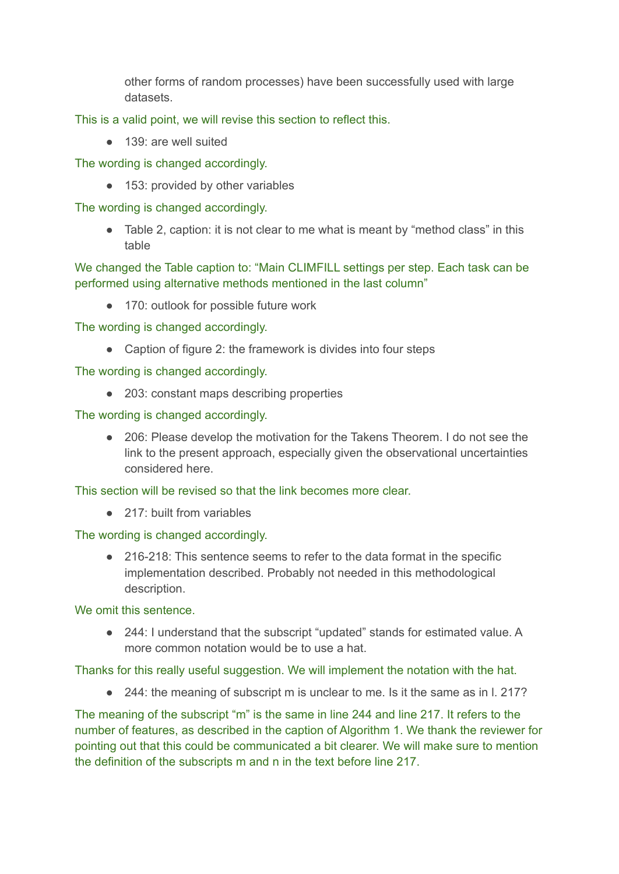other forms of random processes) have been successfully used with large datasets.

This is a valid point, we will revise this section to reflect this.

● 139; are well suited

The wording is changed accordingly.

● 153: provided by other variables

The wording is changed accordingly.

● Table 2, caption: it is not clear to me what is meant by "method class" in this table

We changed the Table caption to: "Main CLIMFILL settings per step. Each task can be performed using alternative methods mentioned in the last column"

● 170: outlook for possible future work

The wording is changed accordingly.

● Caption of figure 2: the framework is divides into four steps

The wording is changed accordingly.

● 203: constant maps describing properties

The wording is changed accordingly.

● 206: Please develop the motivation for the Takens Theorem. I do not see the link to the present approach, especially given the observational uncertainties considered here.

This section will be revised so that the link becomes more clear.

● 217: built from variables

The wording is changed accordingly.

● 216-218: This sentence seems to refer to the data format in the specific implementation described. Probably not needed in this methodological description.

We omit this sentence.

● 244: I understand that the subscript "updated" stands for estimated value. A more common notation would be to use a hat.

Thanks for this really useful suggestion. We will implement the notation with the hat.

● 244: the meaning of subscript m is unclear to me. Is it the same as in 1. 217?

The meaning of the subscript "m" is the same in line 244 and line 217. It refers to the number of features, as described in the caption of Algorithm 1. We thank the reviewer for pointing out that this could be communicated a bit clearer. We will make sure to mention the definition of the subscripts m and n in the text before line 217.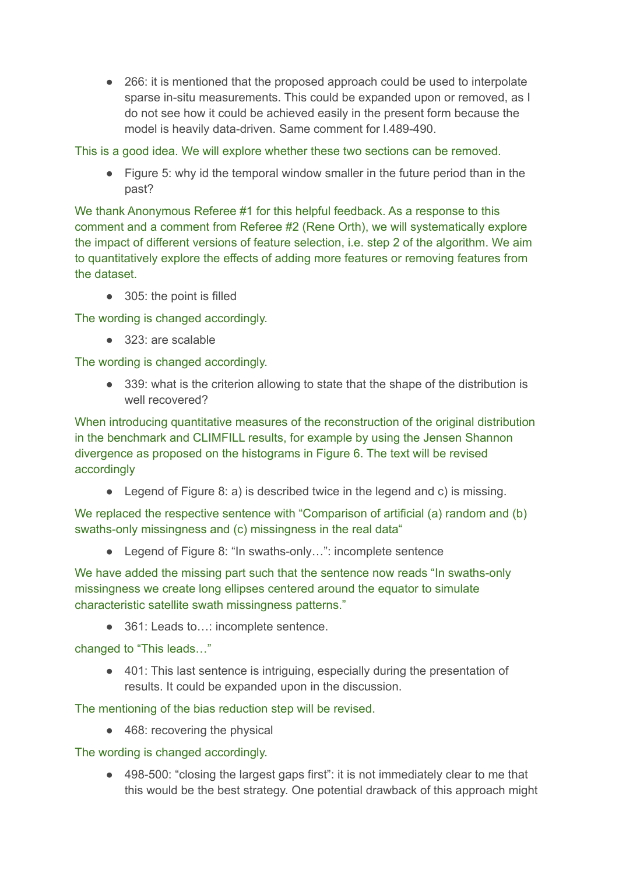● 266: it is mentioned that the proposed approach could be used to interpolate sparse in-situ measurements. This could be expanded upon or removed, as I do not see how it could be achieved easily in the present form because the model is heavily data-driven. Same comment for l.489-490.

This is a good idea. We will explore whether these two sections can be removed.

● Figure 5: why id the temporal window smaller in the future period than in the past?

We thank Anonymous Referee #1 for this helpful feedback. As a response to this comment and a comment from Referee #2 (Rene Orth), we will systematically explore the impact of different versions of feature selection, i.e. step 2 of the algorithm. We aim to quantitatively explore the effects of adding more features or removing features from the dataset.

● 305: the point is filled

The wording is changed accordingly.

● 323: are scalable

The wording is changed accordingly.

● 339: what is the criterion allowing to state that the shape of the distribution is well recovered?

When introducing quantitative measures of the reconstruction of the original distribution in the benchmark and CLIMFILL results, for example by using the Jensen Shannon divergence as proposed on the histograms in Figure 6. The text will be revised accordingly

• Legend of Figure 8: a) is described twice in the legend and c) is missing.

We replaced the respective sentence with "Comparison of artificial (a) random and (b) swaths-only missingness and (c) missingness in the real data"

● Legend of Figure 8: "In swaths-only...": incomplete sentence

We have added the missing part such that the sentence now reads "In swaths-only" missingness we create long ellipses centered around the equator to simulate characteristic satellite swath missingness patterns."

● 361: Leads to...: incomplete sentence.

changed to "This leads…"

● 401: This last sentence is intriguing, especially during the presentation of results. It could be expanded upon in the discussion.

The mentioning of the bias reduction step will be revised.

● 468: recovering the physical

The wording is changed accordingly.

**●** 498-500: "closing the largest gaps first": it is not immediately clear to me that this would be the best strategy. One potential drawback of this approach might